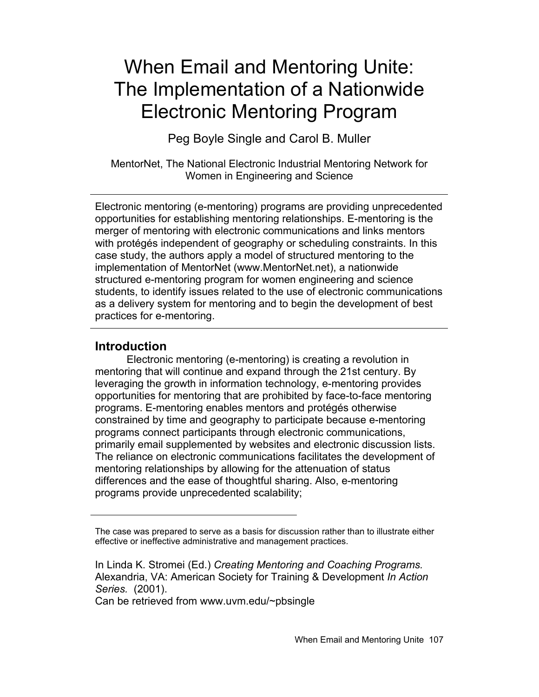# When Email and Mentoring Unite: The Implementation of a Nationwide Electronic Mentoring Program

Peg Boyle Single and Carol B. Muller

MentorNet, The National Electronic Industrial Mentoring Network for Women in Engineering and Science

Electronic mentoring (e-mentoring) programs are providing unprecedented opportunities for establishing mentoring relationships. E-mentoring is the merger of mentoring with electronic communications and links mentors with protégés independent of geography or scheduling constraints. In this case study, the authors apply a model of structured mentoring to the implementation of MentorNet (www.MentorNet.net), a nationwide structured e-mentoring program for women engineering and science students, to identify issues related to the use of electronic communications as a delivery system for mentoring and to begin the development of best practices for e-mentoring.

## **Introduction**

Electronic mentoring (e-mentoring) is creating a revolution in mentoring that will continue and expand through the 21st century. By leveraging the growth in information technology, e-mentoring provides opportunities for mentoring that are prohibited by face-to-face mentoring programs. E-mentoring enables mentors and protégés otherwise constrained by time and geography to participate because e-mentoring programs connect participants through electronic communications, primarily email supplemented by websites and electronic discussion lists. The reliance on electronic communications facilitates the development of mentoring relationships by allowing for the attenuation of status differences and the ease of thoughtful sharing. Also, e-mentoring programs provide unprecedented scalability;

Can be retrieved from www.uvm.edu/~pbsingle

The case was prepared to serve as a basis for discussion rather than to illustrate either effective or ineffective administrative and management practices.

In Linda K. Stromei (Ed.) *Creating Mentoring and Coaching Programs.* Alexandria, VA: American Society for Training & Development *In Action Series.* (2001).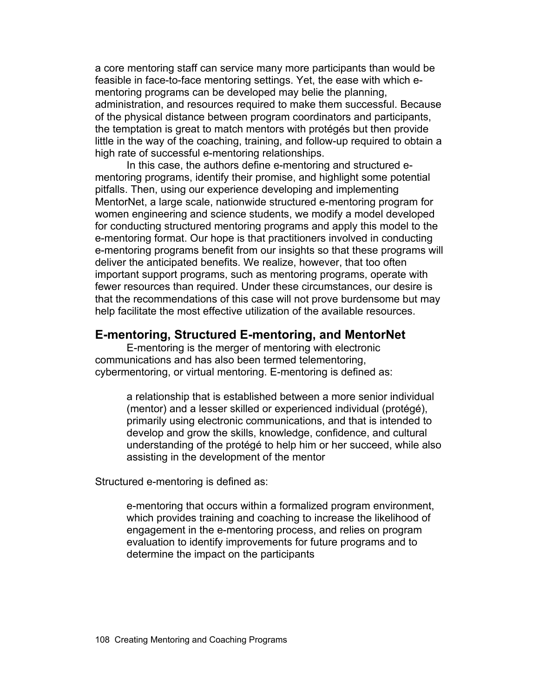a core mentoring staff can service many more participants than would be feasible in face-to-face mentoring settings. Yet, the ease with which ementoring programs can be developed may belie the planning, administration, and resources required to make them successful. Because of the physical distance between program coordinators and participants, the temptation is great to match mentors with protégés but then provide little in the way of the coaching, training, and follow-up required to obtain a high rate of successful e-mentoring relationships.

In this case, the authors define e-mentoring and structured ementoring programs, identify their promise, and highlight some potential pitfalls. Then, using our experience developing and implementing MentorNet, a large scale, nationwide structured e-mentoring program for women engineering and science students, we modify a model developed for conducting structured mentoring programs and apply this model to the e-mentoring format. Our hope is that practitioners involved in conducting e-mentoring programs benefit from our insights so that these programs will deliver the anticipated benefits. We realize, however, that too often important support programs, such as mentoring programs, operate with fewer resources than required. Under these circumstances, our desire is that the recommendations of this case will not prove burdensome but may help facilitate the most effective utilization of the available resources.

## **E-mentoring, Structured E-mentoring, and MentorNet**

E-mentoring is the merger of mentoring with electronic communications and has also been termed telementoring, cybermentoring, or virtual mentoring. E-mentoring is defined as:

> a relationship that is established between a more senior individual (mentor) and a lesser skilled or experienced individual (protégé), primarily using electronic communications, and that is intended to develop and grow the skills, knowledge, confidence, and cultural understanding of the protégé to help him or her succeed, while also assisting in the development of the mentor

Structured e-mentoring is defined as:

e-mentoring that occurs within a formalized program environment, which provides training and coaching to increase the likelihood of engagement in the e-mentoring process, and relies on program evaluation to identify improvements for future programs and to determine the impact on the participants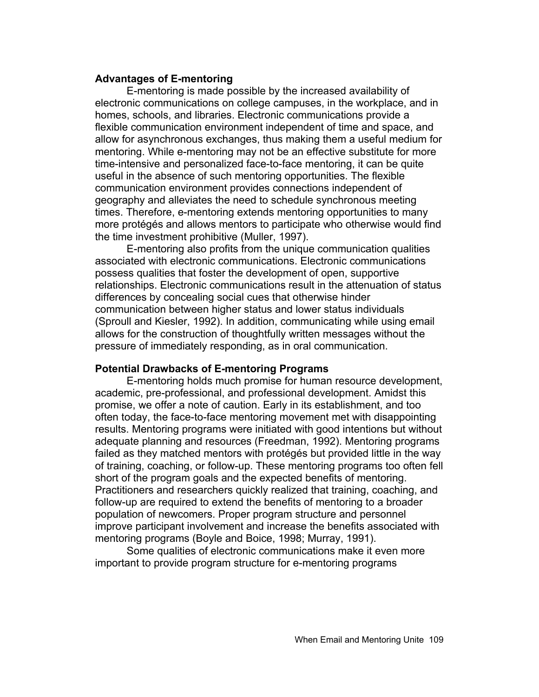#### **Advantages of E-mentoring**

E-mentoring is made possible by the increased availability of electronic communications on college campuses, in the workplace, and in homes, schools, and libraries. Electronic communications provide a flexible communication environment independent of time and space, and allow for asynchronous exchanges, thus making them a useful medium for mentoring. While e-mentoring may not be an effective substitute for more time-intensive and personalized face-to-face mentoring, it can be quite useful in the absence of such mentoring opportunities. The flexible communication environment provides connections independent of geography and alleviates the need to schedule synchronous meeting times. Therefore, e-mentoring extends mentoring opportunities to many more protégés and allows mentors to participate who otherwise would find the time investment prohibitive (Muller, 1997).

E-mentoring also profits from the unique communication qualities associated with electronic communications. Electronic communications possess qualities that foster the development of open, supportive relationships. Electronic communications result in the attenuation of status differences by concealing social cues that otherwise hinder communication between higher status and lower status individuals (Sproull and Kiesler, 1992). In addition, communicating while using email allows for the construction of thoughtfully written messages without the pressure of immediately responding, as in oral communication.

#### **Potential Drawbacks of E-mentoring Programs**

E-mentoring holds much promise for human resource development, academic, pre-professional, and professional development. Amidst this promise, we offer a note of caution. Early in its establishment, and too often today, the face-to-face mentoring movement met with disappointing results. Mentoring programs were initiated with good intentions but without adequate planning and resources (Freedman, 1992). Mentoring programs failed as they matched mentors with protégés but provided little in the way of training, coaching, or follow-up. These mentoring programs too often fell short of the program goals and the expected benefits of mentoring. Practitioners and researchers quickly realized that training, coaching, and follow-up are required to extend the benefits of mentoring to a broader population of newcomers. Proper program structure and personnel improve participant involvement and increase the benefits associated with mentoring programs (Boyle and Boice, 1998; Murray, 1991).

Some qualities of electronic communications make it even more important to provide program structure for e-mentoring programs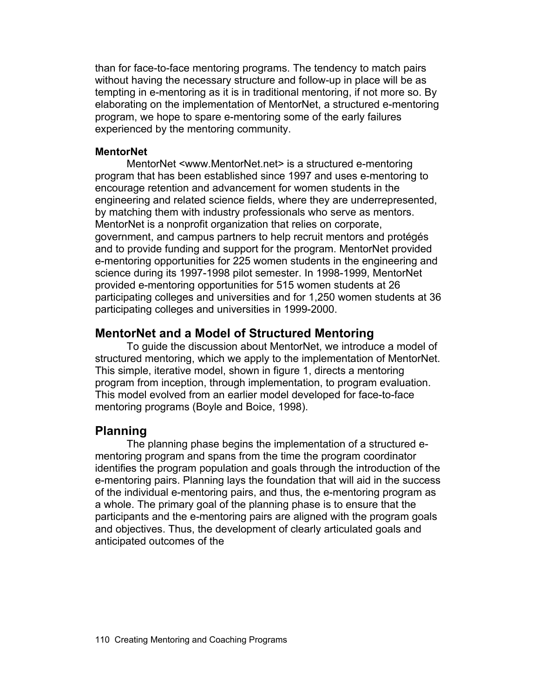than for face-to-face mentoring programs. The tendency to match pairs without having the necessary structure and follow-up in place will be as tempting in e-mentoring as it is in traditional mentoring, if not more so. By elaborating on the implementation of MentorNet, a structured e-mentoring program, we hope to spare e-mentoring some of the early failures experienced by the mentoring community.

### **MentorNet**

MentorNet <www.MentorNet.net> is a structured e-mentoring program that has been established since 1997 and uses e-mentoring to encourage retention and advancement for women students in the engineering and related science fields, where they are underrepresented, by matching them with industry professionals who serve as mentors. MentorNet is a nonprofit organization that relies on corporate, government, and campus partners to help recruit mentors and protégés and to provide funding and support for the program. MentorNet provided e-mentoring opportunities for 225 women students in the engineering and science during its 1997-1998 pilot semester. In 1998-1999, MentorNet provided e-mentoring opportunities for 515 women students at 26 participating colleges and universities and for 1,250 women students at 36 participating colleges and universities in 1999-2000.

# **MentorNet and a Model of Structured Mentoring**

To guide the discussion about MentorNet, we introduce a model of structured mentoring, which we apply to the implementation of MentorNet. This simple, iterative model, shown in figure 1, directs a mentoring program from inception, through implementation, to program evaluation. This model evolved from an earlier model developed for face-to-face mentoring programs (Boyle and Boice, 1998).

## **Planning**

The planning phase begins the implementation of a structured ementoring program and spans from the time the program coordinator identifies the program population and goals through the introduction of the e-mentoring pairs. Planning lays the foundation that will aid in the success of the individual e-mentoring pairs, and thus, the e-mentoring program as a whole. The primary goal of the planning phase is to ensure that the participants and the e-mentoring pairs are aligned with the program goals and objectives. Thus, the development of clearly articulated goals and anticipated outcomes of the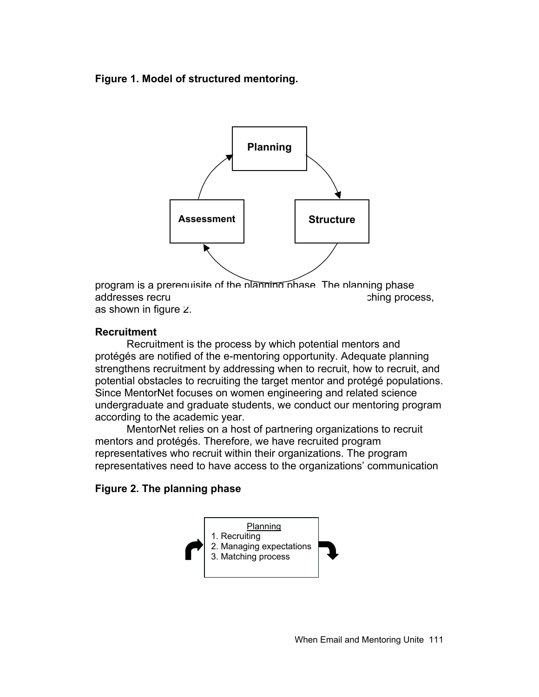## **Figure 1. Model of structured mentoring.**



program is a prerequisite of the planning phase. The planning phase addresses recruiting, managing expectations, and the matching process, and the matching process, and the matching process, and the matching process, and the matching process, and the matching process, and the matching proc as shown in figure 2.

## **Recruitment**

Recruitment is the process by which potential mentors and protégés are notified of the e-mentoring opportunity. Adequate planning strengthens recruitment by addressing when to recruit, how to recruit, and potential obstacles to recruiting the target mentor and protégé populations. Since MentorNet focuses on women engineering and related science undergraduate and graduate students, we conduct our mentoring program according to the academic year.

MentorNet relies on a host of partnering organizations to recruit mentors and protégés. Therefore, we have recruited program representatives who recruit within their organizations. The program representatives need to have access to the organizations' communication

## **Figure 2. The planning phase**

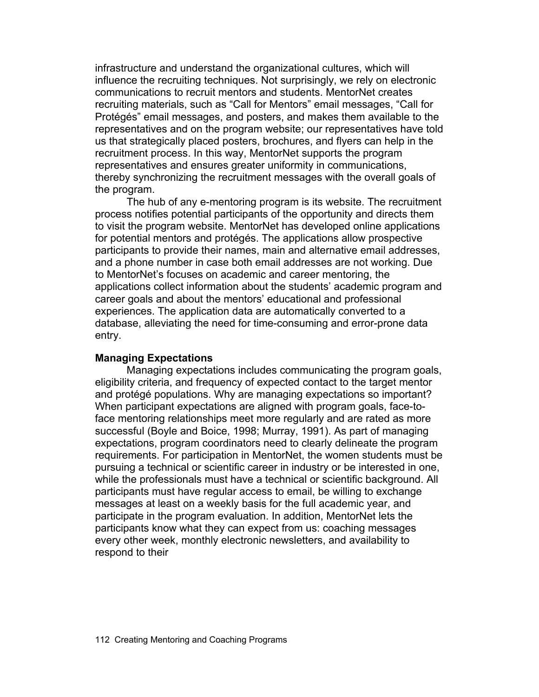infrastructure and understand the organizational cultures, which will influence the recruiting techniques. Not surprisingly, we rely on electronic communications to recruit mentors and students. MentorNet creates recruiting materials, such as "Call for Mentors" email messages, "Call for Protégés" email messages, and posters, and makes them available to the representatives and on the program website; our representatives have told us that strategically placed posters, brochures, and flyers can help in the recruitment process. In this way, MentorNet supports the program representatives and ensures greater uniformity in communications, thereby synchronizing the recruitment messages with the overall goals of the program.

The hub of any e-mentoring program is its website. The recruitment process notifies potential participants of the opportunity and directs them to visit the program website. MentorNet has developed online applications for potential mentors and protégés. The applications allow prospective participants to provide their names, main and alternative email addresses, and a phone number in case both email addresses are not working. Due to MentorNet's focuses on academic and career mentoring, the applications collect information about the students' academic program and career goals and about the mentors' educational and professional experiences. The application data are automatically converted to a database, alleviating the need for time-consuming and error-prone data entry.

#### **Managing Expectations**

Managing expectations includes communicating the program goals, eligibility criteria, and frequency of expected contact to the target mentor and protégé populations. Why are managing expectations so important? When participant expectations are aligned with program goals, face-toface mentoring relationships meet more regularly and are rated as more successful (Boyle and Boice, 1998; Murray, 1991). As part of managing expectations, program coordinators need to clearly delineate the program requirements. For participation in MentorNet, the women students must be pursuing a technical or scientific career in industry or be interested in one, while the professionals must have a technical or scientific background. All participants must have regular access to email, be willing to exchange messages at least on a weekly basis for the full academic year, and participate in the program evaluation. In addition, MentorNet lets the participants know what they can expect from us: coaching messages every other week, monthly electronic newsletters, and availability to respond to their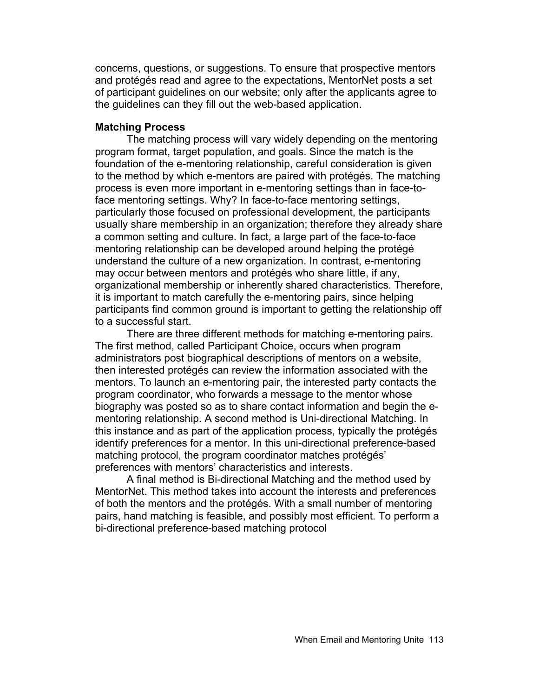concerns, questions, or suggestions. To ensure that prospective mentors and protégés read and agree to the expectations, MentorNet posts a set of participant guidelines on our website; only after the applicants agree to the guidelines can they fill out the web-based application.

## **Matching Process**

The matching process will vary widely depending on the mentoring program format, target population, and goals. Since the match is the foundation of the e-mentoring relationship, careful consideration is given to the method by which e-mentors are paired with protégés. The matching process is even more important in e-mentoring settings than in face-toface mentoring settings. Why? In face-to-face mentoring settings, particularly those focused on professional development, the participants usually share membership in an organization; therefore they already share a common setting and culture. In fact, a large part of the face-to-face mentoring relationship can be developed around helping the protégé understand the culture of a new organization. In contrast, e-mentoring may occur between mentors and protégés who share little, if any, organizational membership or inherently shared characteristics. Therefore, it is important to match carefully the e-mentoring pairs, since helping participants find common ground is important to getting the relationship off to a successful start.

There are three different methods for matching e-mentoring pairs. The first method, called Participant Choice, occurs when program administrators post biographical descriptions of mentors on a website, then interested protégés can review the information associated with the mentors. To launch an e-mentoring pair, the interested party contacts the program coordinator, who forwards a message to the mentor whose biography was posted so as to share contact information and begin the ementoring relationship. A second method is Uni-directional Matching. In this instance and as part of the application process, typically the protégés identify preferences for a mentor. In this uni-directional preference-based matching protocol, the program coordinator matches protégés' preferences with mentors' characteristics and interests.

A final method is Bi-directional Matching and the method used by MentorNet. This method takes into account the interests and preferences of both the mentors and the protégés. With a small number of mentoring pairs, hand matching is feasible, and possibly most efficient. To perform a bi-directional preference-based matching protocol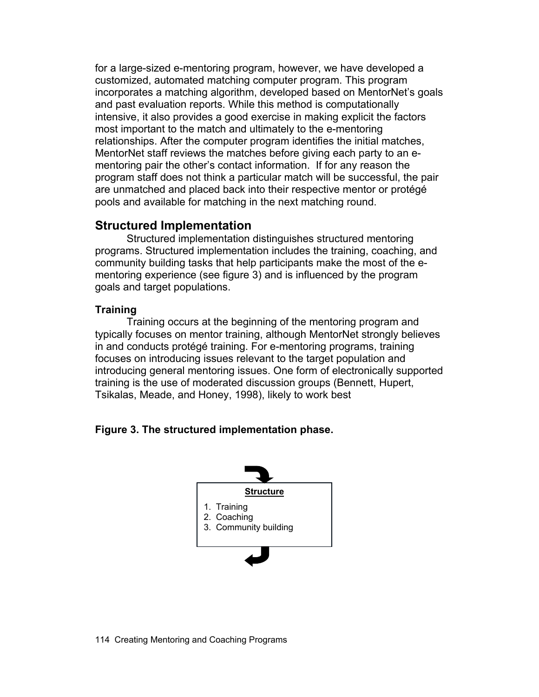for a large-sized e-mentoring program, however, we have developed a customized, automated matching computer program. This program incorporates a matching algorithm, developed based on MentorNet's goals and past evaluation reports. While this method is computationally intensive, it also provides a good exercise in making explicit the factors most important to the match and ultimately to the e-mentoring relationships. After the computer program identifies the initial matches, MentorNet staff reviews the matches before giving each party to an ementoring pair the other's contact information. If for any reason the program staff does not think a particular match will be successful, the pair are unmatched and placed back into their respective mentor or protégé pools and available for matching in the next matching round.

# **Structured Implementation**

Structured implementation distinguishes structured mentoring programs. Structured implementation includes the training, coaching, and community building tasks that help participants make the most of the ementoring experience (see figure 3) and is influenced by the program goals and target populations.

## **Training**

Training occurs at the beginning of the mentoring program and typically focuses on mentor training, although MentorNet strongly believes in and conducts protégé training. For e-mentoring programs, training focuses on introducing issues relevant to the target population and introducing general mentoring issues. One form of electronically supported training is the use of moderated discussion groups (Bennett, Hupert, Tsikalas, Meade, and Honey, 1998), likely to work best

## **Figure 3. The structured implementation phase.**

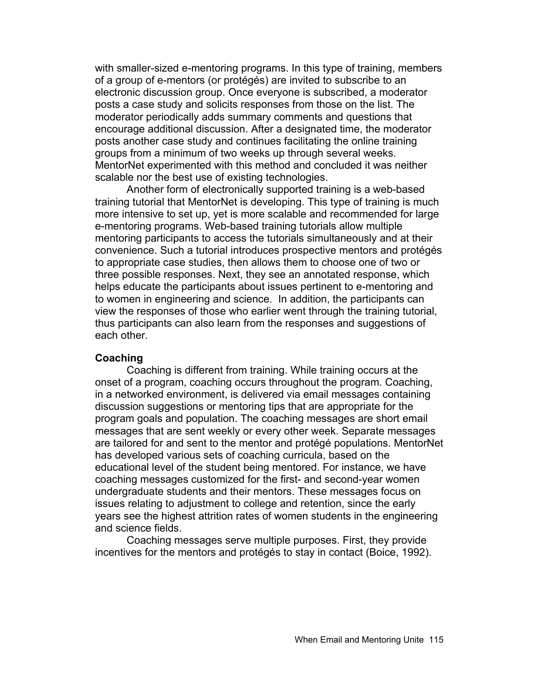with smaller-sized e-mentoring programs. In this type of training, members of a group of e-mentors (or protégés) are invited to subscribe to an electronic discussion group. Once everyone is subscribed, a moderator posts a case study and solicits responses from those on the list. The moderator periodically adds summary comments and questions that encourage additional discussion. After a designated time, the moderator posts another case study and continues facilitating the online training groups from a minimum of two weeks up through several weeks. MentorNet experimented with this method and concluded it was neither scalable nor the best use of existing technologies.

Another form of electronically supported training is a web-based training tutorial that MentorNet is developing. This type of training is much more intensive to set up, yet is more scalable and recommended for large e-mentoring programs. Web-based training tutorials allow multiple mentoring participants to access the tutorials simultaneously and at their convenience. Such a tutorial introduces prospective mentors and protégés to appropriate case studies, then allows them to choose one of two or three possible responses. Next, they see an annotated response, which helps educate the participants about issues pertinent to e-mentoring and to women in engineering and science. In addition, the participants can view the responses of those who earlier went through the training tutorial, thus participants can also learn from the responses and suggestions of each other.

#### **Coaching**

Coaching is different from training. While training occurs at the onset of a program, coaching occurs throughout the program. Coaching, in a networked environment, is delivered via email messages containing discussion suggestions or mentoring tips that are appropriate for the program goals and population. The coaching messages are short email messages that are sent weekly or every other week. Separate messages are tailored for and sent to the mentor and protégé populations. MentorNet has developed various sets of coaching curricula, based on the educational level of the student being mentored. For instance, we have coaching messages customized for the first- and second-year women undergraduate students and their mentors. These messages focus on issues relating to adjustment to college and retention, since the early years see the highest attrition rates of women students in the engineering and science fields.

Coaching messages serve multiple purposes. First, they provide incentives for the mentors and protégés to stay in contact (Boice, 1992).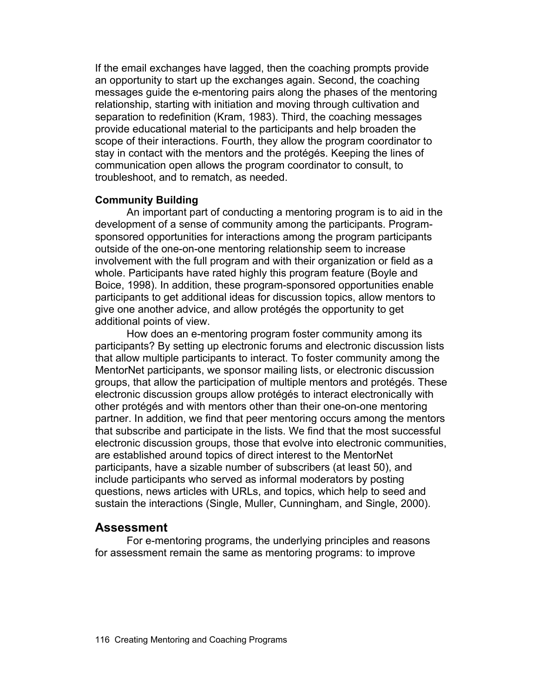If the email exchanges have lagged, then the coaching prompts provide an opportunity to start up the exchanges again. Second, the coaching messages guide the e-mentoring pairs along the phases of the mentoring relationship, starting with initiation and moving through cultivation and separation to redefinition (Kram, 1983). Third, the coaching messages provide educational material to the participants and help broaden the scope of their interactions. Fourth, they allow the program coordinator to stay in contact with the mentors and the protégés. Keeping the lines of communication open allows the program coordinator to consult, to troubleshoot, and to rematch, as needed.

#### **Community Building**

An important part of conducting a mentoring program is to aid in the development of a sense of community among the participants. Programsponsored opportunities for interactions among the program participants outside of the one-on-one mentoring relationship seem to increase involvement with the full program and with their organization or field as a whole. Participants have rated highly this program feature (Boyle and Boice, 1998). In addition, these program-sponsored opportunities enable participants to get additional ideas for discussion topics, allow mentors to give one another advice, and allow protégés the opportunity to get additional points of view.

How does an e-mentoring program foster community among its participants? By setting up electronic forums and electronic discussion lists that allow multiple participants to interact. To foster community among the MentorNet participants, we sponsor mailing lists, or electronic discussion groups, that allow the participation of multiple mentors and protégés. These electronic discussion groups allow protégés to interact electronically with other protégés and with mentors other than their one-on-one mentoring partner. In addition, we find that peer mentoring occurs among the mentors that subscribe and participate in the lists. We find that the most successful electronic discussion groups, those that evolve into electronic communities, are established around topics of direct interest to the MentorNet participants, have a sizable number of subscribers (at least 50), and include participants who served as informal moderators by posting questions, news articles with URLs, and topics, which help to seed and sustain the interactions (Single, Muller, Cunningham, and Single, 2000).

#### **Assessment**

For e-mentoring programs, the underlying principles and reasons for assessment remain the same as mentoring programs: to improve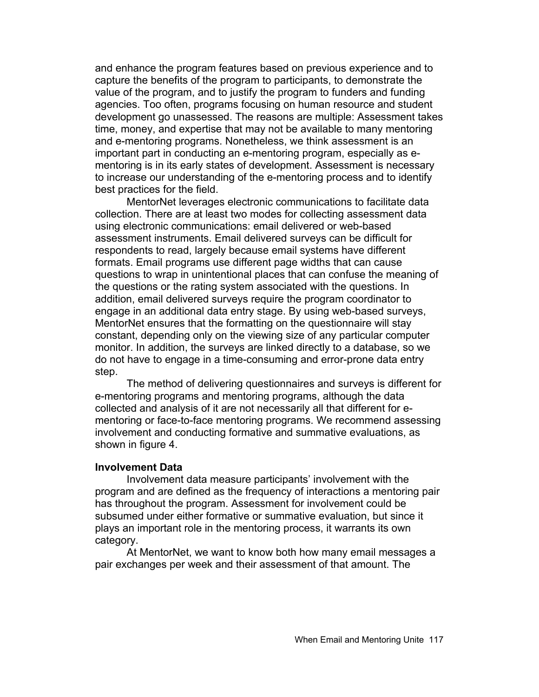and enhance the program features based on previous experience and to capture the benefits of the program to participants, to demonstrate the value of the program, and to justify the program to funders and funding agencies. Too often, programs focusing on human resource and student development go unassessed. The reasons are multiple: Assessment takes time, money, and expertise that may not be available to many mentoring and e-mentoring programs. Nonetheless, we think assessment is an important part in conducting an e-mentoring program, especially as ementoring is in its early states of development. Assessment is necessary to increase our understanding of the e-mentoring process and to identify best practices for the field.

MentorNet leverages electronic communications to facilitate data collection. There are at least two modes for collecting assessment data using electronic communications: email delivered or web-based assessment instruments. Email delivered surveys can be difficult for respondents to read, largely because email systems have different formats. Email programs use different page widths that can cause questions to wrap in unintentional places that can confuse the meaning of the questions or the rating system associated with the questions. In addition, email delivered surveys require the program coordinator to engage in an additional data entry stage. By using web-based surveys, MentorNet ensures that the formatting on the questionnaire will stay constant, depending only on the viewing size of any particular computer monitor. In addition, the surveys are linked directly to a database, so we do not have to engage in a time-consuming and error-prone data entry step.

The method of delivering questionnaires and surveys is different for e-mentoring programs and mentoring programs, although the data collected and analysis of it are not necessarily all that different for ementoring or face-to-face mentoring programs. We recommend assessing involvement and conducting formative and summative evaluations, as shown in figure 4.

#### **Involvement Data**

Involvement data measure participants' involvement with the program and are defined as the frequency of interactions a mentoring pair has throughout the program. Assessment for involvement could be subsumed under either formative or summative evaluation, but since it plays an important role in the mentoring process, it warrants its own category.

At MentorNet, we want to know both how many email messages a pair exchanges per week and their assessment of that amount. The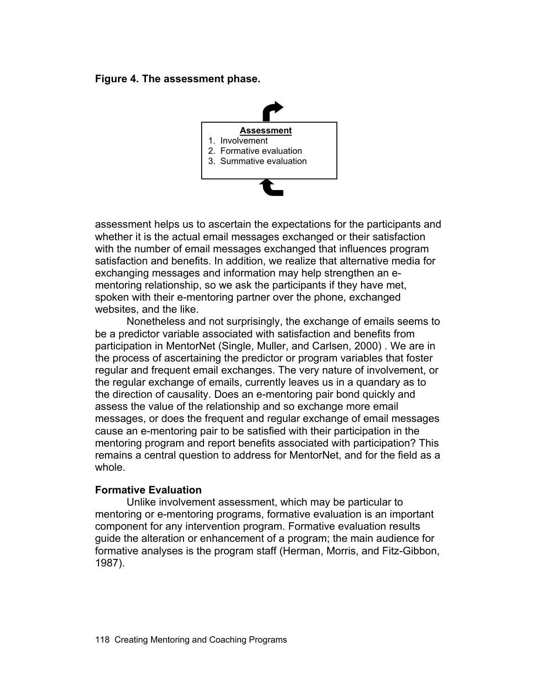**Figure 4. The assessment phase.** 



assessment helps us to ascertain the expectations for the participants and whether it is the actual email messages exchanged or their satisfaction with the number of email messages exchanged that influences program satisfaction and benefits. In addition, we realize that alternative media for exchanging messages and information may help strengthen an ementoring relationship, so we ask the participants if they have met, spoken with their e-mentoring partner over the phone, exchanged websites, and the like.

Nonetheless and not surprisingly, the exchange of emails seems to be a predictor variable associated with satisfaction and benefits from participation in MentorNet (Single, Muller, and Carlsen, 2000) . We are in the process of ascertaining the predictor or program variables that foster regular and frequent email exchanges. The very nature of involvement, or the regular exchange of emails, currently leaves us in a quandary as to the direction of causality. Does an e-mentoring pair bond quickly and assess the value of the relationship and so exchange more email messages, or does the frequent and regular exchange of email messages cause an e-mentoring pair to be satisfied with their participation in the mentoring program and report benefits associated with participation? This remains a central question to address for MentorNet, and for the field as a whole.

#### **Formative Evaluation**

Unlike involvement assessment, which may be particular to mentoring or e-mentoring programs, formative evaluation is an important component for any intervention program. Formative evaluation results guide the alteration or enhancement of a program; the main audience for formative analyses is the program staff (Herman, Morris, and Fitz-Gibbon, 1987).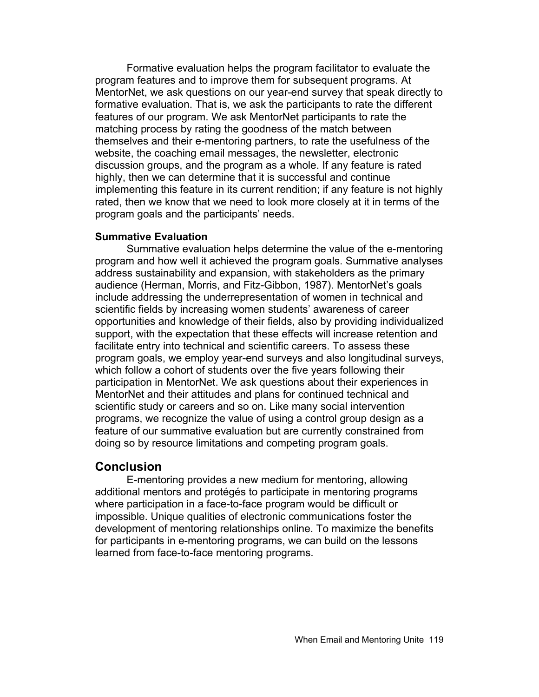Formative evaluation helps the program facilitator to evaluate the program features and to improve them for subsequent programs. At MentorNet, we ask questions on our year-end survey that speak directly to formative evaluation. That is, we ask the participants to rate the different features of our program. We ask MentorNet participants to rate the matching process by rating the goodness of the match between themselves and their e-mentoring partners, to rate the usefulness of the website, the coaching email messages, the newsletter, electronic discussion groups, and the program as a whole. If any feature is rated highly, then we can determine that it is successful and continue implementing this feature in its current rendition; if any feature is not highly rated, then we know that we need to look more closely at it in terms of the program goals and the participants' needs.

#### **Summative Evaluation**

Summative evaluation helps determine the value of the e-mentoring program and how well it achieved the program goals. Summative analyses address sustainability and expansion, with stakeholders as the primary audience (Herman, Morris, and Fitz-Gibbon, 1987). MentorNet's goals include addressing the underrepresentation of women in technical and scientific fields by increasing women students' awareness of career opportunities and knowledge of their fields, also by providing individualized support, with the expectation that these effects will increase retention and facilitate entry into technical and scientific careers. To assess these program goals, we employ year-end surveys and also longitudinal surveys, which follow a cohort of students over the five years following their participation in MentorNet. We ask questions about their experiences in MentorNet and their attitudes and plans for continued technical and scientific study or careers and so on. Like many social intervention programs, we recognize the value of using a control group design as a feature of our summative evaluation but are currently constrained from doing so by resource limitations and competing program goals.

## **Conclusion**

E-mentoring provides a new medium for mentoring, allowing additional mentors and protégés to participate in mentoring programs where participation in a face-to-face program would be difficult or impossible. Unique qualities of electronic communications foster the development of mentoring relationships online. To maximize the benefits for participants in e-mentoring programs, we can build on the lessons learned from face-to-face mentoring programs.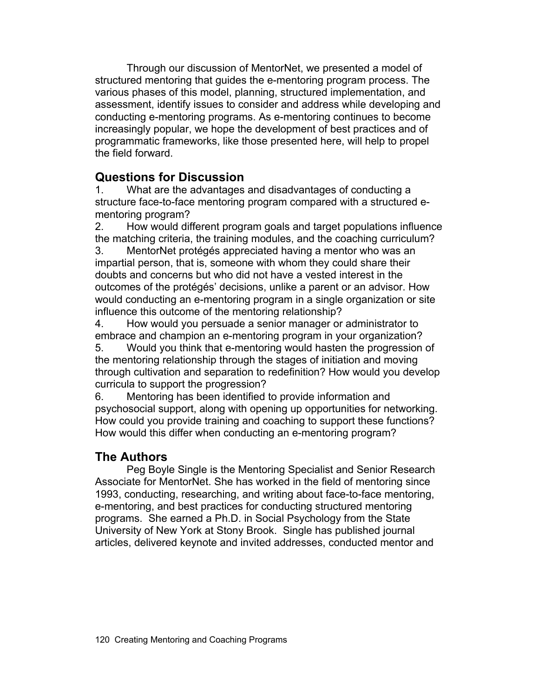Through our discussion of MentorNet, we presented a model of structured mentoring that guides the e-mentoring program process. The various phases of this model, planning, structured implementation, and assessment, identify issues to consider and address while developing and conducting e-mentoring programs. As e-mentoring continues to become increasingly popular, we hope the development of best practices and of programmatic frameworks, like those presented here, will help to propel the field forward.

# **Questions for Discussion**

1. What are the advantages and disadvantages of conducting a structure face-to-face mentoring program compared with a structured ementoring program?

2. How would different program goals and target populations influence the matching criteria, the training modules, and the coaching curriculum?

3. MentorNet protégés appreciated having a mentor who was an impartial person, that is, someone with whom they could share their doubts and concerns but who did not have a vested interest in the outcomes of the protégés' decisions, unlike a parent or an advisor. How would conducting an e-mentoring program in a single organization or site influence this outcome of the mentoring relationship?

4. How would you persuade a senior manager or administrator to embrace and champion an e-mentoring program in your organization?

5. Would you think that e-mentoring would hasten the progression of the mentoring relationship through the stages of initiation and moving through cultivation and separation to redefinition? How would you develop curricula to support the progression?

6. Mentoring has been identified to provide information and psychosocial support, along with opening up opportunities for networking. How could you provide training and coaching to support these functions? How would this differ when conducting an e-mentoring program?

# **The Authors**

Peg Boyle Single is the Mentoring Specialist and Senior Research Associate for MentorNet. She has worked in the field of mentoring since 1993, conducting, researching, and writing about face-to-face mentoring, e-mentoring, and best practices for conducting structured mentoring programs. She earned a Ph.D. in Social Psychology from the State University of New York at Stony Brook. Single has published journal articles, delivered keynote and invited addresses, conducted mentor and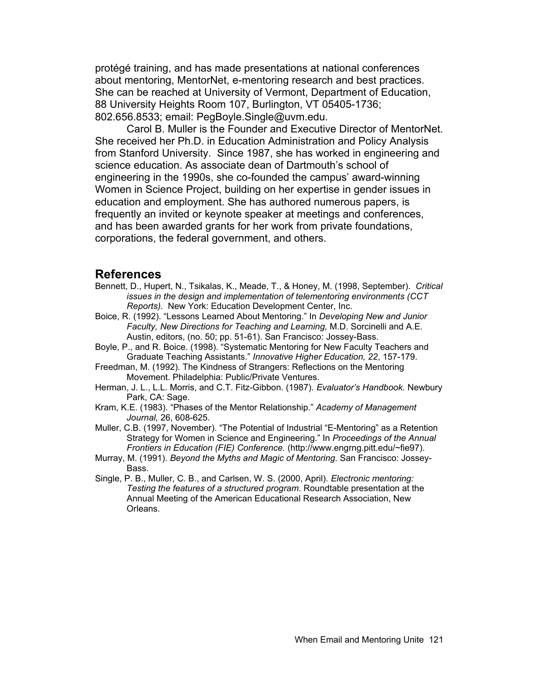protégé training, and has made presentations at national conferences about mentoring, MentorNet, e-mentoring research and best practices. She can be reached at University of Vermont, Department of Education, 88 University Heights Room 107, Burlington, VT 05405-1736; 802.656.8533; email: PegBoyle.Single@uvm.edu.

Carol B. Muller is the Founder and Executive Director of MentorNet. She received her Ph.D. in Education Administration and Policy Analysis from Stanford University. Since 1987, she has worked in engineering and science education. As associate dean of Dartmouth's school of engineering in the 1990s, she co-founded the campus' award-winning Women in Science Project, building on her expertise in gender issues in education and employment. She has authored numerous papers, is frequently an invited or keynote speaker at meetings and conferences, and has been awarded grants for her work from private foundations, corporations, the federal government, and others.

#### **References**

- Bennett, D., Hupert, N., Tsikalas, K., Meade, T., & Honey, M. (1998, September). *Critical issues in the design and implementation of telementoring environments (CCT Reports).* New York: Education Development Center, Inc.
- Boice, R. (1992). "Lessons Learned About Mentoring." In *Developing New and Junior Faculty, New Directions for Teaching and Learning,* M.D. Sorcinelli and A.E. Austin, editors, (no. 50; pp. 51-61). San Francisco: Jossey-Bass.
- Boyle, P., and R. Boice. (1998). "Systematic Mentoring for New Faculty Teachers and Graduate Teaching Assistants." *Innovative Higher Education, 22*, 157-179.
- Freedman, M. (1992). The Kindness of Strangers: Reflections on the Mentoring Movement. Philadelphia: Public/Private Ventures.
- Herman, J. L., L.L. Morris, and C.T. Fitz-Gibbon. (1987). *Evaluator's Handbook.* Newbury Park, CA: Sage.
- Kram, K.E. (1983). "Phases of the Mentor Relationship." *Academy of Management Journal,* 26, 608-625.
- Muller, C.B. (1997, November). "The Potential of Industrial "E-Mentoring" as a Retention Strategy for Women in Science and Engineering." In *Proceedings of the Annual Frontiers in Education (FIE) Conference.* (http://www.engrng.pitt.edu/~fie97).
- Murray, M. (1991). *Beyond the Myths and Magic of Mentoring.* San Francisco: Jossey-Bass.
- Single, P. B., Muller, C. B., and Carlsen, W. S. (2000, April). *Electronic mentoring: Testing the features of a structured program*. Roundtable presentation at the Annual Meeting of the American Educational Research Association, New Orleans.